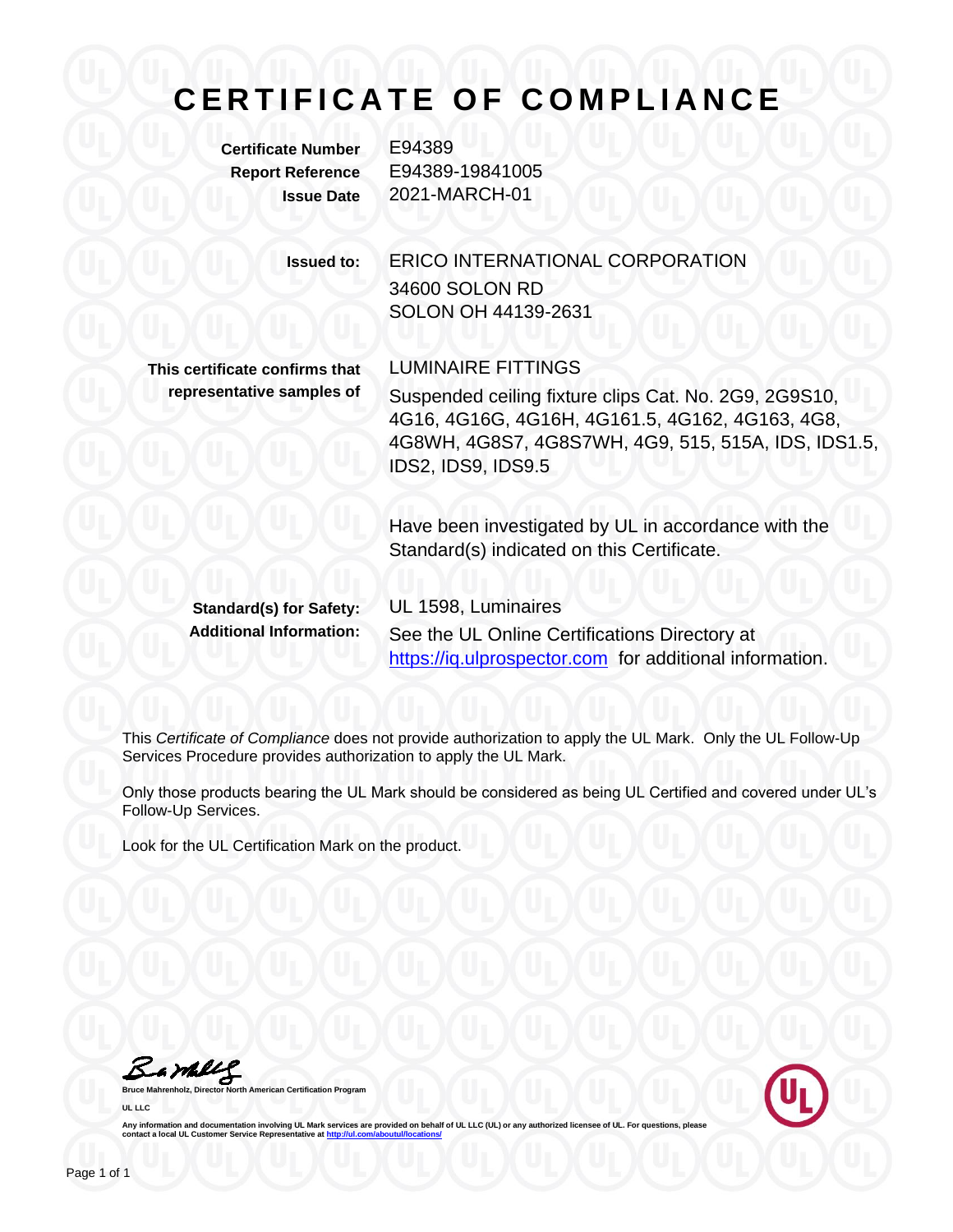## **C E R T I F I C A T E O F C O M P L I A N C E**

**Certificate Number** E94389

**Report Reference** E94389-19841005 **Issue Date** 2021-MARCH-01

> **Issued to:** ERICO INTERNATIONAL CORPORATION 34600 SOLON RD SOLON OH 44139-2631

**This certificate confirms that representative samples of**

LUMINAIRE FITTINGS Suspended ceiling fixture clips Cat. No. 2G9, 2G9S10, 4G16, 4G16G, 4G16H, 4G161.5, 4G162, 4G163, 4G8, 4G8WH, 4G8S7, 4G8S7WH, 4G9, 515, 515A, IDS, IDS1.5, IDS2, IDS9, IDS9.5

Have been investigated by UL in accordance with the Standard(s) indicated on this Certificate.

**Standard(s) for Safety:** UL 1598, Luminaires

**Additional Information:** See the UL Online Certifications Directory at https://iq.ulprospector.com for additional information.

This *Certificate of Compliance* does not provide authorization to apply the UL Mark. Only the UL Follow-Up Services Procedure provides authorization to apply the UL Mark.

Only those products bearing the UL Mark should be considered as being UL Certified and covered under UL's Follow-Up Services.

Look for the UL Certification Mark on the product.

Bambly

**American Certification Program UL LLC**



Any information and documentation involving UL Mark services are provided on behalf of UL LLC (UL) or any authorized licensee of UL. For questions, please<br>contact a local UL Customer Service Representative at <u>http://ul.co</u>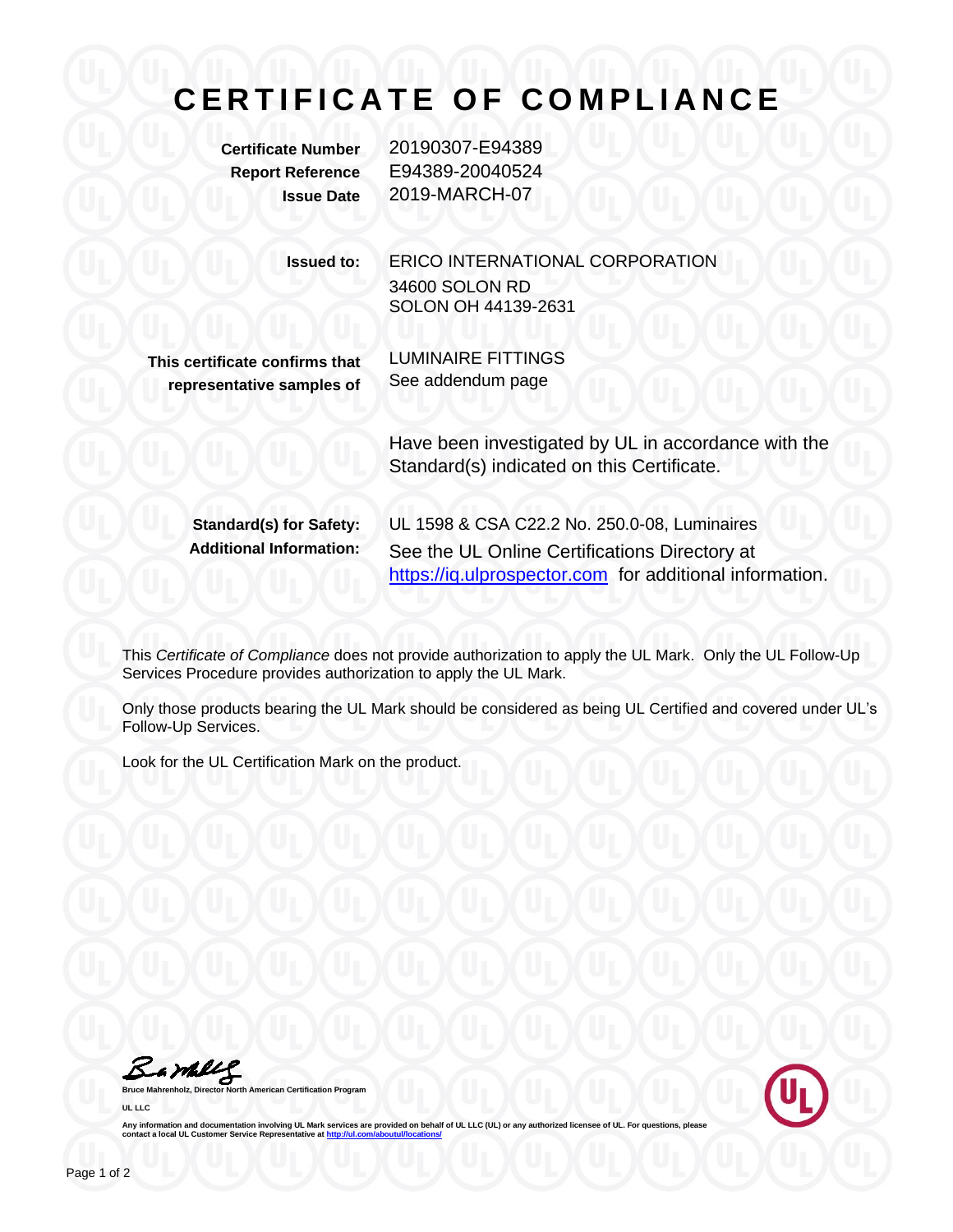## **C E R T I F I C A T E O F C O M P L I A N C E**

**Certificate Number** 20190307-E94389 **Report Reference** E94389-20040524 **Issue Date** 2019-MARCH-07

> **Issued to:** ERICO INTERNATIONAL CORPORATION 34600 SOLON RD SOLON OH 44139-2631

**This certificate confirms that representative samples of** LUMINAIRE FITTINGS See addendum page

Have been investigated by UL in accordance with the Standard(s) indicated on this Certificate.

**Standard(s) for Safety:** UL 1598 & CSA C22.2 No. 250.0-08, Luminaires **Additional Information:** See the UL Online Certifications Directory at https://iq.ulprospector.com for additional information.

This *Certificate of Compliance* does not provide authorization to apply the UL Mark. Only the UL Follow-Up Services Procedure provides authorization to apply the UL Mark.

Only those products bearing the UL Mark should be considered as being UL Certified and covered under UL's Follow-Up Services.

Look for the UL Certification Mark on the product.

Bambly

**American Certification Program UL LLC**



Any information and documentation involving UL Mark services are provided on behalf of UL LLC (UL) or any authorized licensee of UL. For questions, please<br>contact a local UL Customer Service Representative at <u>http://ul.co</u>